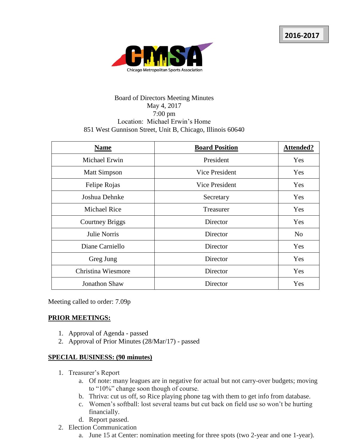

# Board of Directors Meeting Minutes May 4, 2017 7:00 pm Location: Michael Erwin's Home 851 West Gunnison Street, Unit B, Chicago, Illinois 60640

| <b>Name</b>            | <b>Board Position</b> | <b>Attended?</b> |
|------------------------|-----------------------|------------------|
| Michael Erwin          | President             | Yes              |
| <b>Matt Simpson</b>    | Vice President        | Yes              |
| Felipe Rojas           | <b>Vice President</b> | Yes              |
| Joshua Dehnke          | Secretary             | Yes              |
| <b>Michael Rice</b>    | Treasurer             | Yes              |
| <b>Courtney Briggs</b> | Director              | Yes              |
| <b>Julie Norris</b>    | Director              | N <sub>o</sub>   |
| Diane Carniello        | Director              | Yes              |
| Greg Jung              | Director              | Yes              |
| Christina Wiesmore     | Director              | Yes              |
| <b>Jonathon Shaw</b>   | Director              | Yes              |

Meeting called to order: 7.09p

## **PRIOR MEETINGS:**

- 1. Approval of Agenda passed
- 2. Approval of Prior Minutes (28/Mar/17) passed

## **SPECIAL BUSINESS: (90 minutes)**

- 1. Treasurer's Report
	- a. Of note: many leagues are in negative for actual but not carry-over budgets; moving to "10%" change soon though of course.
	- b. Thriva: cut us off, so Rice playing phone tag with them to get info from database.
	- c. Women's softball: lost several teams but cut back on field use so won't be hurting financially.
	- d. Report passed.
- 2. Election Communication
	- a. June 15 at Center: nomination meeting for three spots (two 2-year and one 1-year).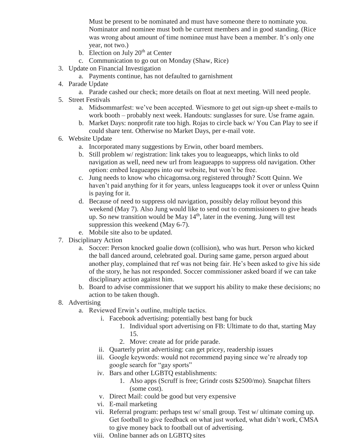Must be present to be nominated and must have someone there to nominate you. Nominator and nominee must both be current members and in good standing. (Rice was wrong about amount of time nominee must have been a member. It's only one year, not two.)

- b. Election on July  $20<sup>th</sup>$  at Center
- c. Communication to go out on Monday (Shaw, Rice)
- 3. Update on Financial Investigation
	- a. Payments continue, has not defaulted to garnishment
- 4. Parade Update
	- a. Parade cashed our check; more details on float at next meeting. Will need people.
- 5. Street Festivals
	- a. Midsommarfest: we've been accepted. Wiesmore to get out sign-up sheet e-mails to work booth – probably next week. Handouts: sunglasses for sure. Use frame again.
	- b. Market Days: nonprofit rate too high. Rojas to circle back w/ You Can Play to see if could share tent. Otherwise no Market Days, per e-mail vote.
- 6. Website Update
	- a. Incorporated many suggestions by Erwin, other board members.
	- b. Still problem w/ registration: link takes you to leagueapps, which links to old navigation as well, need new url from leagueapps to suppress old navigation. Other option: embed leagueapps into our website, but won't be free.
	- c. Jung needs to know who chicagomsa.org registered through? Scott Quinn. We haven't paid anything for it for years, unless leagueapps took it over or unless Quinn is paying for it.
	- d. Because of need to suppress old navigation, possibly delay rollout beyond this weekend (May 7). Also Jung would like to send out to commissioners to give heads up. So new transition would be May  $14<sup>th</sup>$ , later in the evening. Jung will test suppression this weekend (May 6-7).
	- e. Mobile site also to be updated.
- 7. Disciplinary Action
	- a. Soccer: Person knocked goalie down (collision), who was hurt. Person who kicked the ball danced around, celebrated goal. During same game, person argued about another play, complained that ref was not being fair. He's been asked to give his side of the story, he has not responded. Soccer commissioner asked board if we can take disciplinary action against him.
	- b. Board to advise commissioner that we support his ability to make these decisions; no action to be taken though.
- 8. Advertising
	- a. Reviewed Erwin's outline, multiple tactics.
		- i. Facebook advertising: potentially best bang for buck
			- 1. Individual sport advertising on FB: Ultimate to do that, starting May 15.
			- 2. Move: create ad for pride parade.
		- ii. Quarterly print advertising: can get pricey, readership issues
		- iii. Google keywords: would not recommend paying since we're already top google search for "gay sports"
		- iv. Bars and other LGBTQ establishments:
			- 1. Also apps (Scruff is free; Grindr costs \$2500/mo). Snapchat filters (some cost).
		- v. Direct Mail: could be good but very expensive
		- vi. E-mail marketing
		- vii. Referral program: perhaps test w/ small group. Test w/ ultimate coming up. Get football to give feedback on what just worked, what didn't work, CMSA to give money back to football out of advertising.
		- viii. Online banner ads on LGBTQ sites